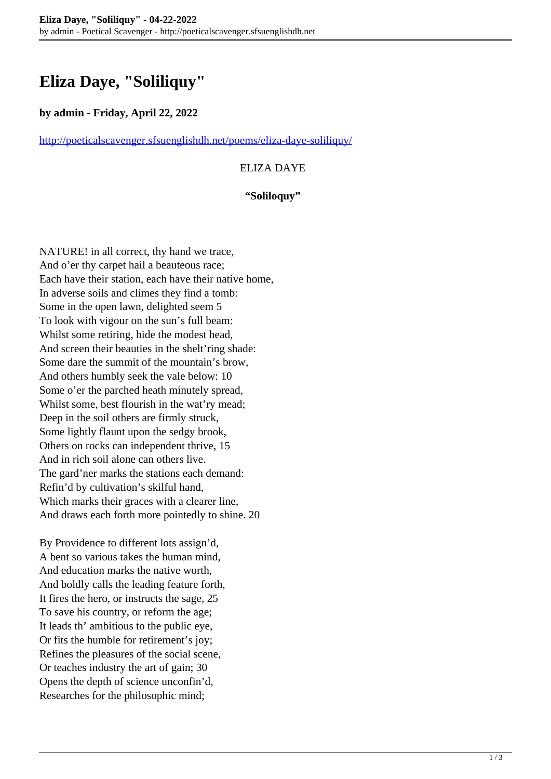# **Eliza Daye, "Soliliquy"**

### **by admin - Friday, April 22, 2022**

<http://poeticalscavenger.sfsuenglishdh.net/poems/eliza-daye-soliliquy/>

## ELIZA DAYE

#### **"Soliloquy"**

NATURE! in all correct, thy hand we trace, And o'er thy carpet hail a beauteous race; Each have their station, each have their native home, In adverse soils and climes they find a tomb: Some in the open lawn, delighted seem 5 To look with vigour on the sun's full beam: Whilst some retiring, hide the modest head, And screen their beauties in the shelt'ring shade: Some dare the summit of the mountain's brow, And others humbly seek the vale below: 10 Some o'er the parched heath minutely spread, Whilst some, best flourish in the wat'ry mead; Deep in the soil others are firmly struck, Some lightly flaunt upon the sedgy brook, Others on rocks can independent thrive, 15 And in rich soil alone can others live. The gard'ner marks the stations each demand: Refin'd by cultivation's skilful hand, Which marks their graces with a clearer line, And draws each forth more pointedly to shine. 20

By Providence to different lots assign'd, A bent so various takes the human mind, And education marks the native worth, And boldly calls the leading feature forth, It fires the hero, or instructs the sage, 25 To save his country, or reform the age; It leads th' ambitious to the public eye, Or fits the humble for retirement's joy; Refines the pleasures of the social scene, Or teaches industry the art of gain; 30 Opens the depth of science unconfin'd, Researches for the philosophic mind;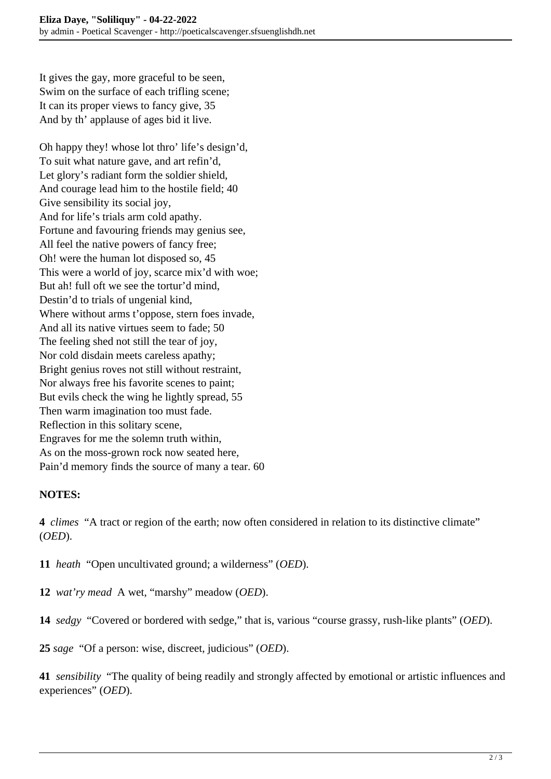It gives the gay, more graceful to be seen, Swim on the surface of each trifling scene; It can its proper views to fancy give, 35 And by th' applause of ages bid it live.

Oh happy they! whose lot thro' life's design'd, To suit what nature gave, and art refin'd, Let glory's radiant form the soldier shield, And courage lead him to the hostile field; 40 Give sensibility its social joy, And for life's trials arm cold apathy. Fortune and favouring friends may genius see, All feel the native powers of fancy free; Oh! were the human lot disposed so, 45 This were a world of joy, scarce mix'd with woe; But ah! full oft we see the tortur'd mind, Destin'd to trials of ungenial kind, Where without arms t'oppose, stern foes invade, And all its native virtues seem to fade; 50 The feeling shed not still the tear of joy, Nor cold disdain meets careless apathy; Bright genius roves not still without restraint, Nor always free his favorite scenes to paint; But evils check the wing he lightly spread, 55 Then warm imagination too must fade. Reflection in this solitary scene, Engraves for me the solemn truth within, As on the moss-grown rock now seated here, Pain'd memory finds the source of many a tear. 60

# **NOTES:**

**4** *climes* "A tract or region of the earth; now often considered in relation to its distinctive climate" (*OED*).

**11** *heath* "Open uncultivated ground; a wilderness" (*OED*).

- **12** *wat'ry mead* A wet, "marshy" meadow (*OED*).
- **14** *sedgy* "Covered or bordered with sedge," that is, various "course grassy, rush-like plants" (*OED*).

**25** *sage* "Of a person: wise, discreet, judicious" (*OED*).

**41** *sensibility* "The quality of being readily and strongly affected by emotional or artistic influences and experiences" (*OED*).